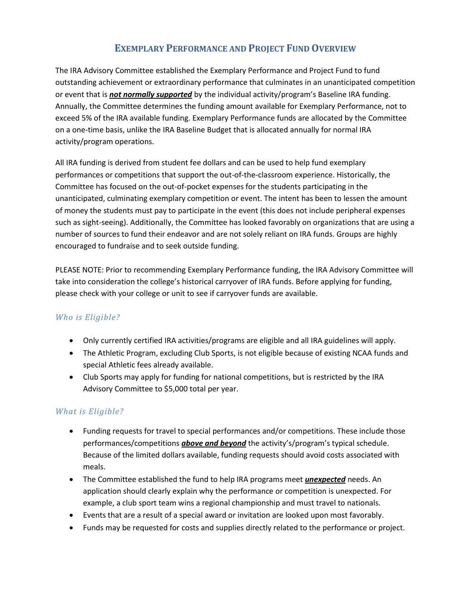## **EXEMPLARY PERFORMANCE AND PROJECT FUND OVERVIEW**

The IRA Advisory Committee established the Exemplary Performance and Project Fund to fund outstanding achievement or extraordinary performance that culminates in an unanticipated competition or event that is *not normally supported* by the individual activity/program's Baseline IRA funding. Annually, the Committee determines the funding amount available for Exemplary Performance, not to exceed 5% of the IRA available funding. Exemplary Performance funds are allocated by the Committee on a one-time basis, unlike the IRA Baseline Budget that is allocated annually for normal IRA activity/program operations.

All IRA funding is derived from student fee dollars and can be used to help fund exemplary performances or competitions that support the out-of-the-classroom experience. Historically, the Committee has focused on the out-of-pocket expenses for the students participating in the unanticipated, culminating exemplary competition or event. The intent has been to lessen the amount of money the students must pay to participate in the event (this does not include peripheral expenses such as sight-seeing). Additionally, the Committee has looked favorably on organizations that are using a number of sources to fund their endeavor and are not solely reliant on IRA funds. Groups are highly encouraged to fundraise and to seek outside funding.

PLEASE NOTE: Prior to recommending Exemplary Performance funding, the IRA Advisory Committee will take into consideration the college's historical carryover of IRA funds. Before applying for funding, please check with your college or unit to see if carryover funds are available.

## *Who is Eligible?*

- Only currently certified IRA activities/programs are eligible and all IRA guidelines will apply.
- The Athletic Program, excluding Club Sports, is not eligible because of existing NCAA funds and special Athletic fees already available.
- Club Sports may apply for funding for national competitions, but is restricted by the IRA Advisory Committee to \$5,000 total per year.

## *What is Eligible?*

- Funding requests for travel to special performances and/or competitions. These include those performances/competitions *above and beyond* the activity's/program's typical schedule. Because of the limited dollars available, funding requests should avoid costs associated with meals.
- The Committee established the fund to help IRA programs meet *unexpected* needs. An application should clearly explain why the performance or competition is unexpected. For example, a club sport team wins a regional championship and must travel to nationals.
- Events that are a result of a special award or invitation are looked upon most favorably.
- Funds may be requested for costs and supplies directly related to the performance or project.